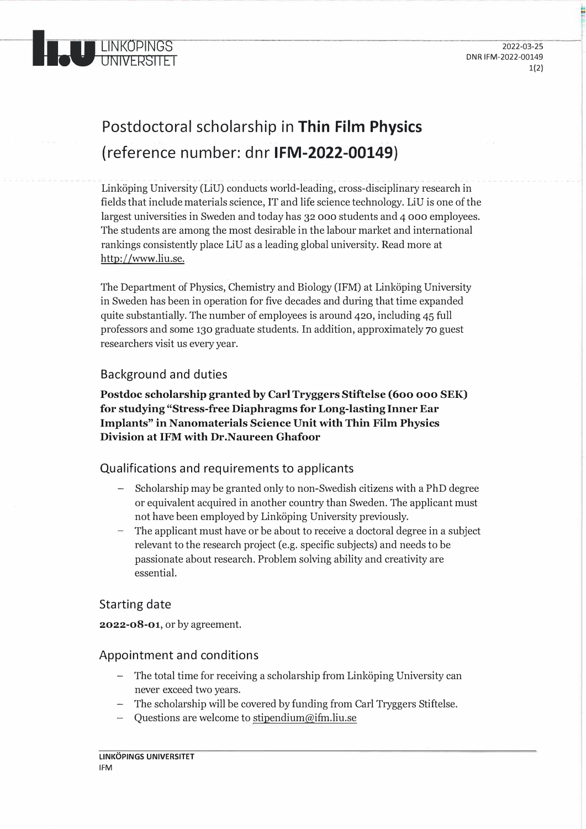

# Postdoctoral scholarship in **Thin Film Physics**  (reference number: dnr **IFM-2022-00149)**

- ---- - - - - - - -- - -- - - - - - ---------- - - Linköping University (LiU) conducts world-leading, cross-disciplinary research in fields that include materials science, IT and life science technology. LiU is one of the largest universities in Sweden and today has 32 ooo students and 4 ooo employees. The students are among the mast desirable in the labour market and international rankings consistently place LiU as a leading global university. Read more at http://www.liu.se.

The Department of Physics, Chemistry and Biology (IFM) at Linköping University in Sweden has been in operation for five decades and during that time expanded quite substantially. The number of employees is around 420, including 45 full professors and same 130 graduate students. In addition, approximately 70 guest researchers visit us every year.

## Background and duties

**Postdoc scholarship granted by Carl Tryggers Stiftelse (600 ooo SEK) for studying "Stress-free Diaphragms for Long-lasting Inner Ear Implants" in Nanomaterials Science Unit with Thin Film Physics Division at IFM with Dr. Naureen Ghafoor** 

## Qualifications and requirements to applicants

- Scholarship may be granted only to non-Swedish citizens with a PhD degree or equivalent acquired in another country than Sweden. The applicant must not have been employed by Linköping University previously.
- The applicant must have or be about to receive a doctoral degree in a subject relevant to the research project (e.g. specific subjects) and needs to be passionate about research. Problem solving ability and creativity are essential.

## Starting date

**2022-08-01,** or by agreement.

#### Appointment and conditions

- The total time for receiving a scholarship from Linköping University can never exceed two years.
- The scholarship will be covered by funding from Carl Tryggers Stiftelse.
- Questions are welcome to stipendium@ifm.liu.se